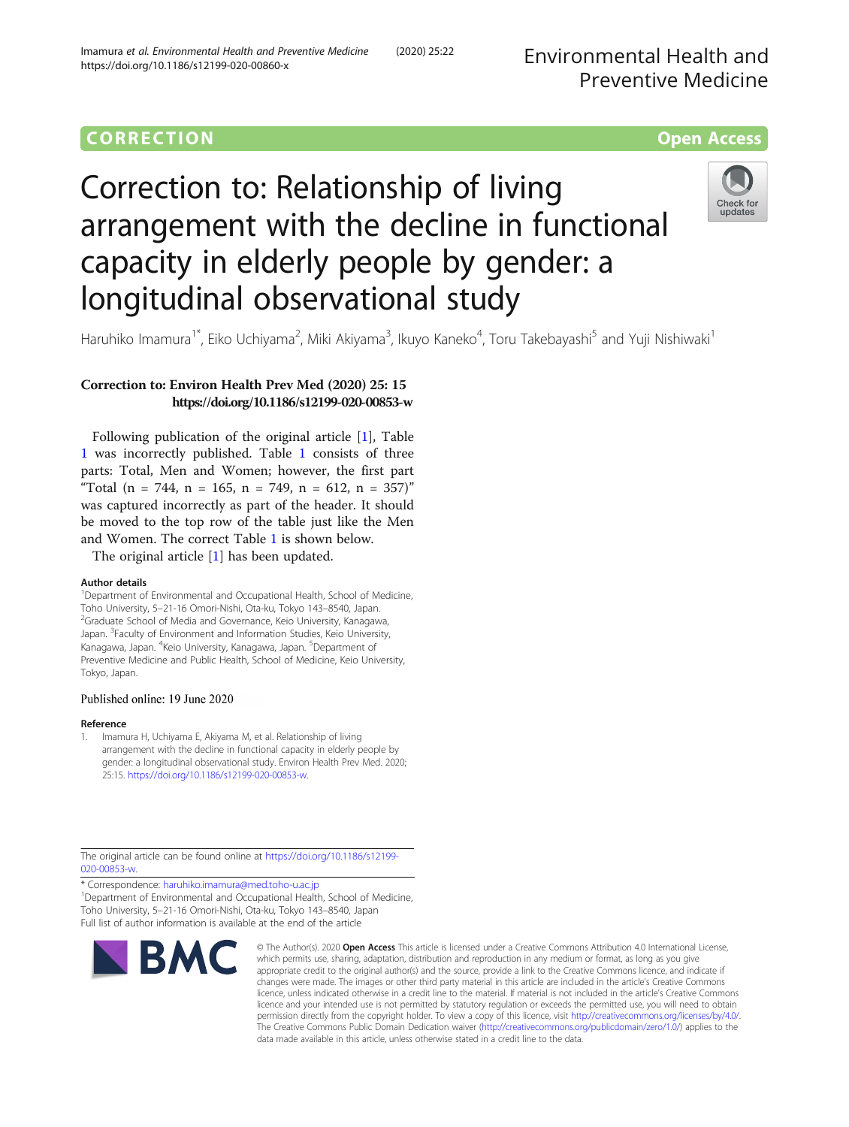# **CORRECTION CORRECTION CORRECTION**

# Correction to: Relationship of living arrangement with the decline in functional capacity in elderly people by gender: a longitudinal observational study



Haruhiko Imamura<sup>1\*</sup>, Eiko Uchiyama<sup>2</sup>, Miki Akiyama<sup>3</sup>, Ikuyo Kaneko<sup>4</sup>, Toru Takebayashi<sup>5</sup> and Yuji Nishiwaki<sup>1</sup>

# Correction to: Environ Health Prev Med (2020) 25: 15 https://doi.org/10.1186/s12199-020-00853-w

Following publication of the original article [1], Table [1](#page-1-0) was incorrectly published. Table [1](#page-1-0) consists of three parts: Total, Men and Women; however, the first part "Total  $(n = 744, n = 165, n = 749, n = 612, n = 357)$ " was captured incorrectly as part of the header. It should be moved to the top row of the table just like the Men and Women. The correct Table [1](#page-1-0) is shown below.

The original article [1] has been updated.

#### Author details

<sup>1</sup>Department of Environmental and Occupational Health, School of Medicine, Toho University, 5–21-16 Omori-Nishi, Ota-ku, Tokyo 143–8540, Japan. <sup>2</sup> <sup>2</sup>Graduate School of Media and Governance, Keio University, Kanagawa, Japan. <sup>3</sup>Faculty of Environment and Information Studies, Keio University, Kanagawa, Japan. <sup>4</sup>Keio University, Kanagawa, Japan. <sup>5</sup>Department of Preventive Medicine and Public Health, School of Medicine, Keio University, Tokyo, Japan.

#### Published online: 19 June 2020

#### Reference

1. Imamura H, Uchiyama E, Akiyama M, et al. Relationship of living arrangement with the decline in functional capacity in elderly people by gender: a longitudinal observational study. Environ Health Prev Med. 2020; 25:15. <https://doi.org/10.1186/s12199-020-00853-w>.

The original article can be found online at [https://doi.org/10.1186/s12199-](https://doi.org/10.1186/s12199-020-00853-w) [020-00853-w](https://doi.org/10.1186/s12199-020-00853-w).

\* Correspondence: [haruhiko.imamura@med.toho-u.ac.jp](mailto:haruhiko.imamura@med.toho-u.ac.jp) <sup>1</sup> <sup>1</sup>Department of Environmental and Occupational Health, School of Medicine, Toho University, 5–21-16 Omori-Nishi, Ota-ku, Tokyo 143–8540, Japan Full list of author information is available at the end of the article



© The Author(s), 2020 **Open Access** This article is licensed under a Creative Commons Attribution 4.0 International License, which permits use, sharing, adaptation, distribution and reproduction in any medium or format, as long as you give appropriate credit to the original author(s) and the source, provide a link to the Creative Commons licence, and indicate if changes were made. The images or other third party material in this article are included in the article's Creative Commons licence, unless indicated otherwise in a credit line to the material. If material is not included in the article's Creative Commons licence and your intended use is not permitted by statutory regulation or exceeds the permitted use, you will need to obtain permission directly from the copyright holder. To view a copy of this licence, visit [http://creativecommons.org/licenses/by/4.0/.](http://creativecommons.org/licenses/by/4.0/) The Creative Commons Public Domain Dedication waiver [\(http://creativecommons.org/publicdomain/zero/1.0/](http://creativecommons.org/publicdomain/zero/1.0/)) applies to the data made available in this article, unless otherwise stated in a credit line to the data.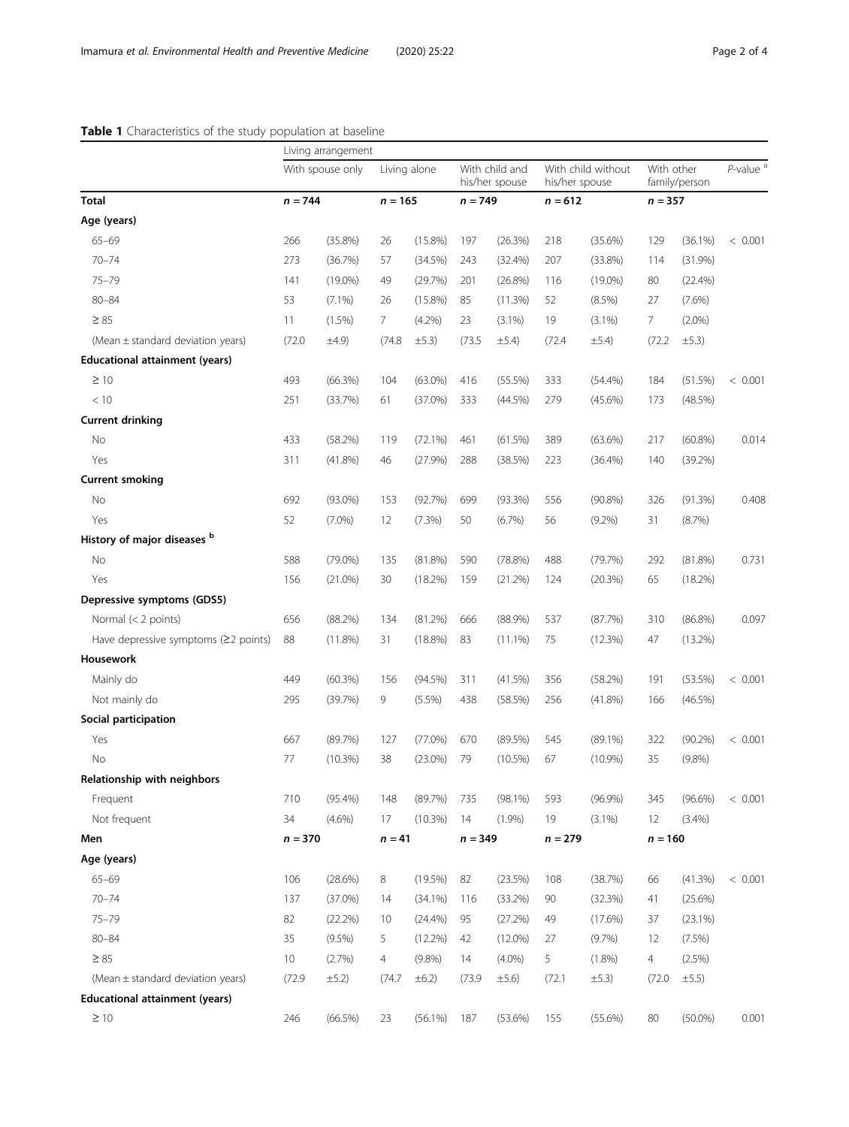## <span id="page-1-0"></span>Table 1 Characteristics of the study population at baseline

|                                        | Living arrangement            |            |                           |             |                                               |            |                                                   |            |                             |            |                         |
|----------------------------------------|-------------------------------|------------|---------------------------|-------------|-----------------------------------------------|------------|---------------------------------------------------|------------|-----------------------------|------------|-------------------------|
|                                        | With spouse only<br>$n = 744$ |            | Living alone<br>$n = 165$ |             | With child and<br>his/her spouse<br>$n = 749$ |            | With child without<br>his/her spouse<br>$n = 612$ |            | With other<br>family/person |            | $P$ -value <sup>a</sup> |
| <b>Total</b>                           |                               |            |                           |             |                                               |            |                                                   |            | $n = 357$                   |            |                         |
| Age (years)                            |                               |            |                           |             |                                               |            |                                                   |            |                             |            |                         |
| $65 - 69$                              | 266                           | $(35.8\%)$ | 26                        | $(15.8\%)$  | 197                                           | (26.3%)    | 218                                               | (35.6%)    | 129                         | $(36.1\%)$ | < 0.001                 |
| $70 - 74$                              | 273                           | (36.7%)    | 57                        | (34.5%)     | 243                                           | (32.4%)    | 207                                               | (33.8%)    | 114                         | $(31.9\%)$ |                         |
| $75 - 79$                              | 141                           | $(19.0\%)$ | 49                        | (29.7%)     | 201                                           | $(26.8\%)$ | 116                                               | $(19.0\%)$ | 80                          | $(22.4\%)$ |                         |
| $80 - 84$                              | 53                            | $(7.1\%)$  | 26                        | $(15.8\%)$  | 85                                            | (11.3%)    | 52                                                | (8.5%)     | 27                          | $(7.6\%)$  |                         |
| $\geq 85$                              | 11                            | (1.5%)     | 7                         | (4.2%)      | 23                                            | $(3.1\%)$  | 19                                                | $(3.1\%)$  | $7\overline{ }$             | $(2.0\%)$  |                         |
| (Mean $\pm$ standard deviation years)  | (72.0)                        | $\pm 4.9$  | (74.8)                    | $\pm$ 5.3)  | (73.5)                                        | $\pm$ 5.4) | (72.4)                                            | $\pm 5.4$  | (72.2)                      | $\pm$ 5.3) |                         |
| <b>Educational attainment (years)</b>  |                               |            |                           |             |                                               |            |                                                   |            |                             |            |                         |
| $\geq 10$                              | 493                           | $(66.3\%)$ | 104                       | $(63.0\%)$  | 416                                           | (55.5%)    | 333                                               | (54.4%)    | 184                         | (51.5%)    | < 0.001                 |
| < 10                                   | 251                           | (33.7%)    | 61                        | $(37.0\%)$  | 333                                           | (44.5%)    | 279                                               | $(45.6\%)$ | 173                         | (48.5%)    |                         |
| <b>Current drinking</b>                |                               |            |                           |             |                                               |            |                                                   |            |                             |            |                         |
| No                                     | 433                           | (58.2%)    | 119                       | (72.1%)     | 461                                           | (61.5%)    | 389                                               | (63.6%)    | 217                         | $(60.8\%)$ | 0.014                   |
| Yes                                    | 311                           | (41.8%)    | 46                        | (27.9%)     | 288                                           | (38.5%)    | 223                                               | $(36.4\%)$ | 140                         | (39.2%)    |                         |
| <b>Current smoking</b>                 |                               |            |                           |             |                                               |            |                                                   |            |                             |            |                         |
| No                                     | 692                           | $(93.0\%)$ | 153                       | (92.7%)     | 699                                           | (93.3%)    | 556                                               | $(90.8\%)$ | 326                         | (91.3%)    | 0.408                   |
| Yes                                    | 52                            | $(7.0\%)$  | 12                        | (7.3%)      | 50                                            | (6.7%)     | 56                                                | $(9.2\%)$  | 31                          | (8.7%)     |                         |
| History of major diseases b            |                               |            |                           |             |                                               |            |                                                   |            |                             |            |                         |
| No                                     | 588                           | $(79.0\%)$ | 135                       | (81.8%)     | 590                                           | (78.8%)    | 488                                               | (79.7%)    | 292                         | $(81.8\%)$ | 0.731                   |
| Yes                                    | 156                           | $(21.0\%)$ | 30                        | (18.2%)     | 159                                           | (21.2%)    | 124                                               | (20.3%)    | 65                          | (18.2%)    |                         |
| Depressive symptoms (GDS5)             |                               |            |                           |             |                                               |            |                                                   |            |                             |            |                         |
| Normal $(< 2$ points)                  | 656                           | $(88.2\%)$ | 134                       | (81.2%)     | 666                                           | $(88.9\%)$ | 537                                               | (87.7%)    | 310                         | $(86.8\%)$ | 0.097                   |
| Have depressive symptoms $(22$ points) | 88                            | (11.8%)    | 31                        | $(18.8\%)$  | 83                                            | $(11.1\%)$ | 75                                                | (12.3%)    | 47                          | $(13.2\%)$ |                         |
| Housework                              |                               |            |                           |             |                                               |            |                                                   |            |                             |            |                         |
| Mainly do                              | 449                           | $(60.3\%)$ | 156                       | (94.5%)     | 311                                           | (41.5%)    | 356                                               | (58.2%)    | 191                         | (53.5%)    | < 0.001                 |
| Not mainly do                          | 295                           | (39.7%)    | 9                         | (5.5%)      | 438                                           | (58.5%)    | 256                                               | (41.8%)    | 166                         | (46.5%)    |                         |
| Social participation                   |                               |            |                           |             |                                               |            |                                                   |            |                             |            |                         |
| Yes                                    | 667                           | (89.7%)    | 127                       | $(77.0\%)$  | 670                                           | (89.5%)    | 545                                               | $(89.1\%)$ | 322                         | $(90.2\%)$ | < 0.001                 |
| No                                     | 77                            | (10.3%)    | 38                        | $(23.0\%)$  | 79                                            | $(10.5\%)$ | 67                                                | $(10.9\%)$ | 35                          | $(9.8\%)$  |                         |
| Relationship with neighbors            |                               |            |                           |             |                                               |            |                                                   |            |                             |            |                         |
| Frequent                               | 710                           | $(95.4\%)$ | 148                       | (89.7%)     | 735                                           | $(98.1\%)$ | 593                                               | $(96.9\%)$ | 345                         | $(96.6\%)$ | < 0.001                 |
| Not frequent                           | 34                            | $(4.6\%)$  | 17                        | (10.3%)     | 14                                            | (1.9%)     | 19                                                | $(3.1\%)$  | 12                          | (3.4%)     |                         |
| Men                                    | $n = 370$                     |            | $n = 41$                  |             | $n = 349$                                     |            | $n = 279$                                         |            | $n = 160$                   |            |                         |
| Age (years)                            |                               |            |                           |             |                                               |            |                                                   |            |                             |            |                         |
| $65 - 69$                              | 106                           | (28.6%)    | 8                         | (19.5%)     | 82                                            | (23.5%)    | 108                                               | (38.7%)    | 66                          | (41.3%)    | < 0.001                 |
| $70 - 74$                              | 137                           | $(37.0\%)$ | 14                        | (34.1%)     | 116                                           | (33.2%)    | 90                                                | (32.3%)    | 41                          | (25.6%)    |                         |
| $75 - 79$                              | 82                            | (22.2%)    | 10                        | (24.4%)     | 95                                            | (27.2%)    | 49                                                | $(17.6\%)$ | 37                          | (23.1%)    |                         |
| $80 - 84$                              | 35                            | $(9.5\%)$  | 5                         | $(12.2\%)$  | 42                                            | $(12.0\%)$ | 27                                                | (9.7%)     | 12                          | (7.5%)     |                         |
| $\geq 85$                              | 10                            | (2.7%)     | 4                         | $(9.8\%)$   | 14                                            | $(4.0\%)$  | 5                                                 | (1.8%)     | $\overline{4}$              | (2.5%)     |                         |
| (Mean ± standard deviation years)      | (72.9)                        | $\pm$ 5.2) | (74.7)                    | $\pm 6.2$ ) | (73.9)                                        | ±5.6)      | (72.1)                                            | ±5.3)      | (72.0                       | $\pm 5.5)$ |                         |
| <b>Educational attainment (years)</b>  |                               |            |                           |             |                                               |            |                                                   |            |                             |            |                         |
| $\geq 10$                              | 246                           | $(66.5\%)$ | 23                        | $(56.1\%)$  | 187                                           | $(53.6\%)$ | 155                                               | $(55.6\%)$ | 80                          | $(50.0\%)$ | 0.001                   |
|                                        |                               |            |                           |             |                                               |            |                                                   |            |                             |            |                         |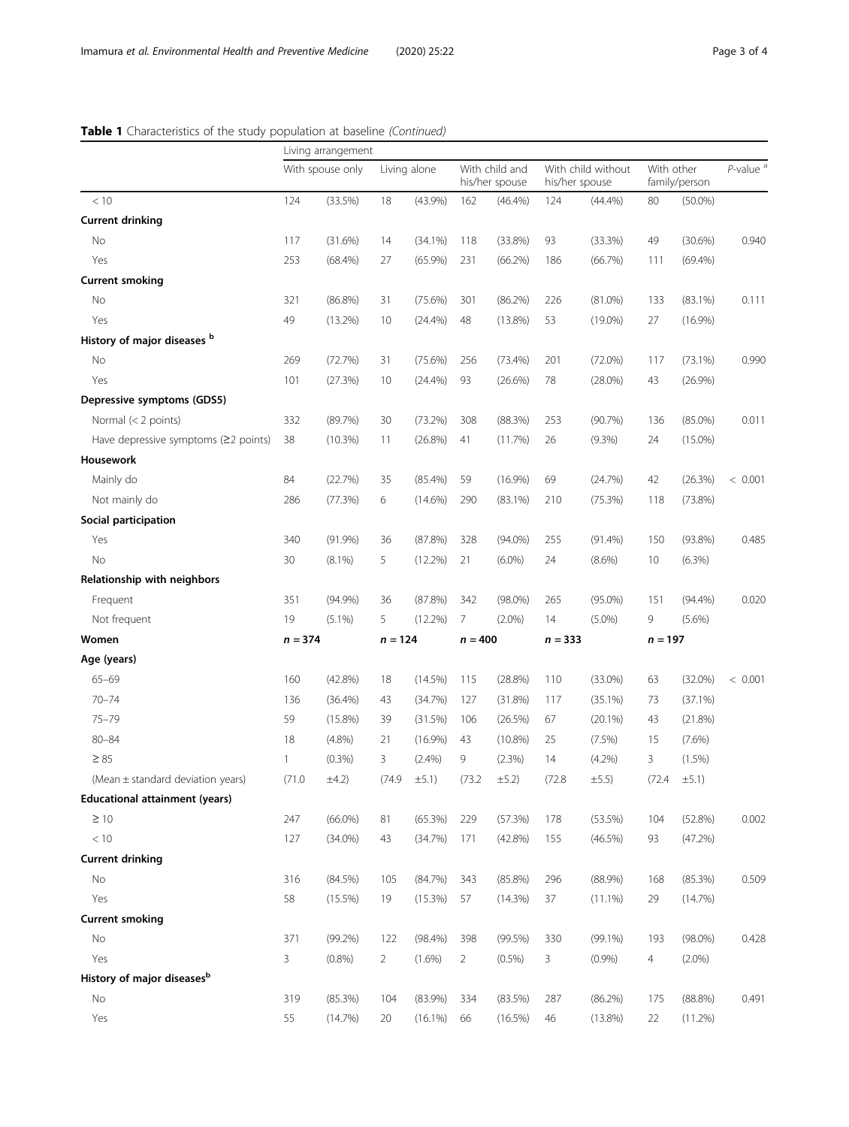# Table 1 Characteristics of the study population at baseline (Continued)

|                                        | Living arrangement |            |                |             |                                  |            |                                      |            |                             |            |                         |
|----------------------------------------|--------------------|------------|----------------|-------------|----------------------------------|------------|--------------------------------------|------------|-----------------------------|------------|-------------------------|
| < 10                                   | With spouse only   |            | Living alone   |             | With child and<br>his/her spouse |            | With child without<br>his/her spouse |            | With other<br>family/person |            | $P$ -value <sup>a</sup> |
|                                        | 124                | (33.5%)    | 18             | $(43.9\%)$  | 162                              | $(46.4\%)$ | 124                                  | (44.4%)    | 80                          | $(50.0\%)$ |                         |
| <b>Current drinking</b>                |                    |            |                |             |                                  |            |                                      |            |                             |            |                         |
| No                                     | 117                | (31.6%)    | 14             | $(34.1\%)$  | 118                              | (33.8%)    | 93                                   | (33.3%)    | 49                          | (30.6%)    | 0.940                   |
| Yes                                    | 253                | $(68.4\%)$ | 27             | $(65.9\%)$  | 231                              | (66.2%)    | 186                                  | (66.7%)    | 111                         | $(69.4\%)$ |                         |
| <b>Current smoking</b>                 |                    |            |                |             |                                  |            |                                      |            |                             |            |                         |
| No                                     | 321                | $(86.8\%)$ | 31             | $(75.6\%)$  | 301                              | (86.2%)    | 226                                  | $(81.0\%)$ | 133                         | $(83.1\%)$ | 0.111                   |
| Yes                                    | 49                 | $(13.2\%)$ | 10             | $(24.4\%)$  | 48                               | $(13.8\%)$ | 53                                   | $(19.0\%)$ | 27                          | $(16.9\%)$ |                         |
| History of major diseases b            |                    |            |                |             |                                  |            |                                      |            |                             |            |                         |
| No                                     | 269                | (72.7%)    | 31             | $(75.6\%)$  | 256                              | (73.4%)    | 201                                  | $(72.0\%)$ | 117                         | (73.1%)    | 0.990                   |
| Yes                                    | 101                | (27.3%)    | 10             | (24.4%)     | 93                               | (26.6%)    | 78                                   | $(28.0\%)$ | 43                          | $(26.9\%)$ |                         |
| Depressive symptoms (GDS5)             |                    |            |                |             |                                  |            |                                      |            |                             |            |                         |
| Normal (< 2 points)                    | 332                | (89.7%)    | 30             | (73.2%)     | 308                              | (88.3%)    | 253                                  | (90.7%)    | 136                         | $(85.0\%)$ | 0.011                   |
| Have depressive symptoms $(≥2$ points) | 38                 | (10.3%)    | 11             | $(26.8\%)$  | 41                               | (11.7%)    | 26                                   | (9.3%)     | 24                          | $(15.0\%)$ |                         |
| Housework                              |                    |            |                |             |                                  |            |                                      |            |                             |            |                         |
| Mainly do                              | 84                 | (22.7%)    | 35             | $(85.4\%)$  | 59                               | $(16.9\%)$ | 69                                   | (24.7%)    | 42                          | (26.3%)    | < 0.001                 |
| Not mainly do                          | 286                | (77.3%)    | 6              | $(14.6\%)$  | 290                              | $(83.1\%)$ | 210                                  | (75.3%)    | 118                         | (73.8%)    |                         |
| Social participation                   |                    |            |                |             |                                  |            |                                      |            |                             |            |                         |
| Yes                                    | 340                | (91.9%)    | 36             | (87.8%)     | 328                              | $(94.0\%)$ | 255                                  | $(91.4\%)$ | 150                         | $(93.8\%)$ | 0.485                   |
| No                                     | 30                 | $(8.1\%)$  | 5              | $(12.2\%)$  | 21                               | $(6.0\%)$  | 24                                   | $(8.6\%)$  | 10                          | $(6.3\%)$  |                         |
| Relationship with neighbors            |                    |            |                |             |                                  |            |                                      |            |                             |            |                         |
| Frequent                               | 351                | $(94.9\%)$ | 36             | (87.8%)     | 342                              | $(98.0\%)$ | 265                                  | $(95.0\%)$ | 151                         | (94.4%)    | 0.020                   |
| Not frequent                           | 19                 | $(5.1\%)$  | 5              | $(12.2\%)$  | 7                                | $(2.0\%)$  | 14                                   | $(5.0\%)$  | 9                           | $(5.6\%)$  |                         |
| Women                                  | $n = 374$          |            | $n = 124$      |             | $n = 400$                        |            | $n = 333$                            |            | $n = 197$                   |            |                         |
| Age (years)                            |                    |            |                |             |                                  |            |                                      |            |                             |            |                         |
| $65 - 69$                              | 160                | $(42.8\%)$ | 18             | (14.5%)     | 115                              | (28.8%)    | 110                                  | $(33.0\%)$ | 63                          | $(32.0\%)$ | < 0.001                 |
| $70 - 74$                              | 136                | $(36.4\%)$ | 43             | (34.7%)     | 127                              | (31.8%)    | 117                                  | (35.1%)    | 73                          | (37.1%)    |                         |
| $75 - 79$                              | 59                 | $(15.8\%)$ | 39             | (31.5%)     | 106                              | (26.5%)    | 67                                   | $(20.1\%)$ | 43                          | (21.8%)    |                         |
| $80 - 84$                              | 18                 | $(4.8\%)$  | 21             | $(16.9\%)$  | 43                               | $(10.8\%)$ | 25                                   | (7.5%)     | 15                          | $(7.6\%)$  |                         |
| $\geq 85$                              | 1                  | (0.3%)     | 3              | (2.4%)      | 9                                | (2.3%)     | 14                                   | $(4.2\%)$  | 3                           | (1.5%)     |                         |
| (Mean ± standard deviation years)      | (71.0              | $\pm 4.2$  | (74.9          | $\pm 5.1$ ) | (73.2)                           | ±5.2)      | (72.8)                               | $\pm 5.5)$ | (72.4)                      | ±5.1)      |                         |
| <b>Educational attainment (years)</b>  |                    |            |                |             |                                  |            |                                      |            |                             |            |                         |
| $\geq 10$                              | 247                | $(66.0\%)$ | 81             | $(65.3\%)$  | 229                              | (57.3%)    | 178                                  | (53.5%)    | 104                         | $(52.8\%)$ | 0.002                   |
| $<10\,$                                | 127                | $(34.0\%)$ | 43             | (34.7%)     | 171                              | (42.8%)    | 155                                  | (46.5%)    | 93                          | (47.2%)    |                         |
| <b>Current drinking</b>                |                    |            |                |             |                                  |            |                                      |            |                             |            |                         |
| No                                     | 316                | $(84.5\%)$ | 105            | (84.7%)     | 343                              | $(85.8\%)$ | 296                                  | $(88.9\%)$ | 168                         | (85.3%)    | 0.509                   |
| Yes                                    | 58                 | $(15.5\%)$ | 19             | (15.3%)     | 57                               | (14.3%)    | 37                                   | $(11.1\%)$ | 29                          | (14.7%)    |                         |
| <b>Current smoking</b>                 |                    |            |                |             |                                  |            |                                      |            |                             |            |                         |
| No                                     | 371                | $(99.2\%)$ | 122            | $(98.4\%)$  | 398                              | (99.5%)    | 330                                  | $(99.1\%)$ | 193                         | $(98.0\%)$ | 0.428                   |
| Yes                                    | 3                  | (0.8%)     | $\overline{2}$ | (1.6%)      | $\overline{2}$                   | $(0.5\%)$  | 3                                    | (0.9%)     | $\overline{4}$              | $(2.0\%)$  |                         |
| History of major diseases <sup>b</sup> |                    |            |                |             |                                  |            |                                      |            |                             |            |                         |
| No                                     | 319                | $(85.3\%)$ | 104            | $(83.9\%)$  | 334                              | (83.5%)    | 287                                  | (86.2%)    | 175                         | (88.8%)    | 0.491                   |
| Yes                                    | 55                 | (14.7%)    | 20             | $(16.1\%)$  | 66                               | $(16.5\%)$ | 46                                   | $(13.8\%)$ | 22                          | (11.2%)    |                         |